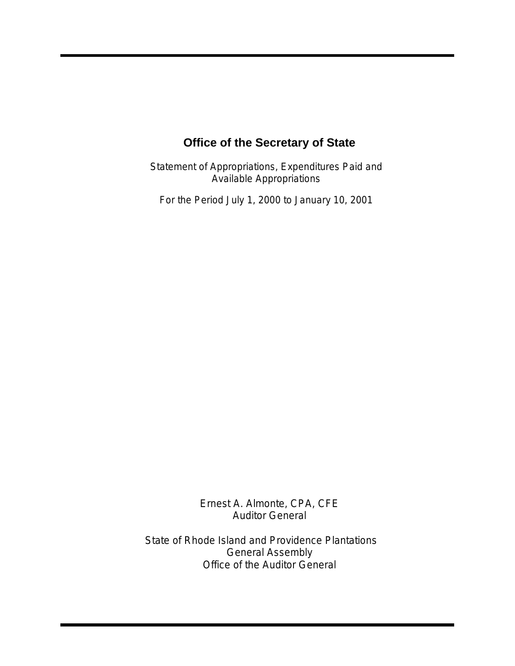Statement of Appropriations, Expenditures Paid and Available Appropriations

For the Period July 1, 2000 to January 10, 2001

Ernest A. Almonte, CPA, CFE Auditor General

State of Rhode Island and Providence Plantations General Assembly Office of the Auditor General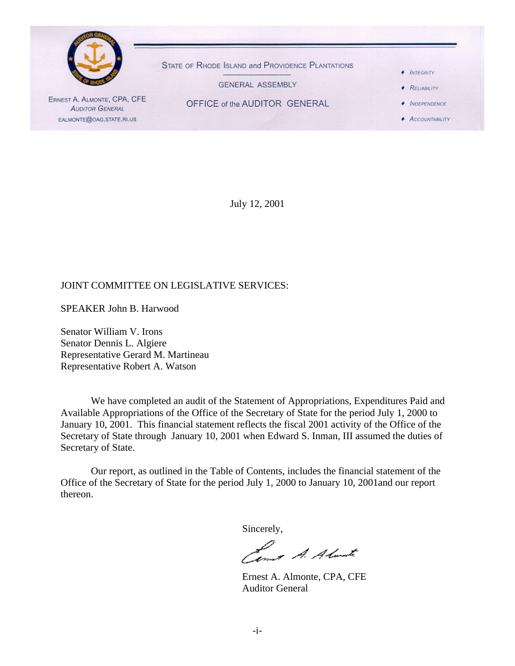

July 12, 2001

#### JOINT COMMITTEE ON LEGISLATIVE SERVICES:

SPEAKER John B. Harwood

Senator William V. Irons Senator Dennis L. Algiere Representative Gerard M. Martineau Representative Robert A. Watson

We have completed an audit of the Statement of Appropriations, Expenditures Paid and Available Appropriations of the Office of the Secretary of State for the period July 1, 2000 to January 10, 2001. This financial statement reflects the fiscal 2001 activity of the Office of the Secretary of State through January 10, 2001 when Edward S. Inman, III assumed the duties of Secretary of State.

Our report, as outlined in the Table of Contents, includes the financial statement of the Office of the Secretary of State for the period July 1, 2000 to January 10, 2001and our report thereon.

Sincerely,

formet A. Almarte

Ernest A. Almonte, CPA, CFE Auditor General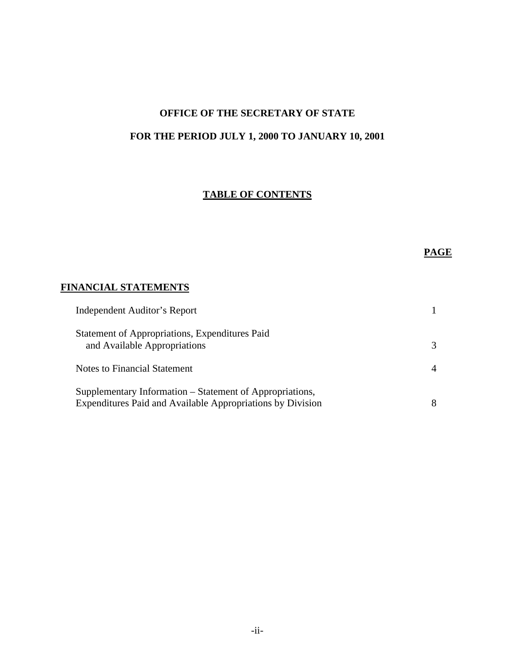# **OFFICE OF THE SECRETARY OF STATE FOR THE PERIOD JULY 1, 2000 TO JANUARY 10, 2001**

# **TABLE OF CONTENTS**

# **PAGE**

# **FINANCIAL STATEMENTS**

| Independent Auditor's Report                                                                                           |   |
|------------------------------------------------------------------------------------------------------------------------|---|
| Statement of Appropriations, Expenditures Paid<br>and Available Appropriations                                         | 3 |
| Notes to Financial Statement                                                                                           |   |
| Supplementary Information – Statement of Appropriations,<br>Expenditures Paid and Available Appropriations by Division |   |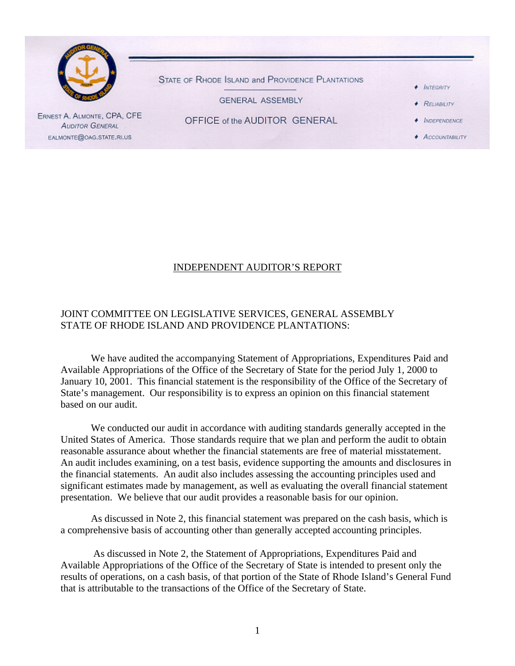

#### INDEPENDENT AUDITOR'S REPORT

# JOINT COMMITTEE ON LEGISLATIVE SERVICES, GENERAL ASSEMBLY STATE OF RHODE ISLAND AND PROVIDENCE PLANTATIONS:

We have audited the accompanying Statement of Appropriations, Expenditures Paid and Available Appropriations of the Office of the Secretary of State for the period July 1, 2000 to January 10, 2001. This financial statement is the responsibility of the Office of the Secretary of State's management. Our responsibility is to express an opinion on this financial statement based on our audit.

We conducted our audit in accordance with auditing standards generally accepted in the United States of America. Those standards require that we plan and perform the audit to obtain reasonable assurance about whether the financial statements are free of material misstatement. An audit includes examining, on a test basis, evidence supporting the amounts and disclosures in the financial statements. An audit also includes assessing the accounting principles used and significant estimates made by management, as well as evaluating the overall financial statement presentation. We believe that our audit provides a reasonable basis for our opinion.

As discussed in Note 2, this financial statement was prepared on the cash basis, which is a comprehensive basis of accounting other than generally accepted accounting principles.

 As discussed in Note 2, the Statement of Appropriations, Expenditures Paid and Available Appropriations of the Office of the Secretary of State is intended to present only the results of operations, on a cash basis, of that portion of the State of Rhode Island's General Fund that is attributable to the transactions of the Office of the Secretary of State.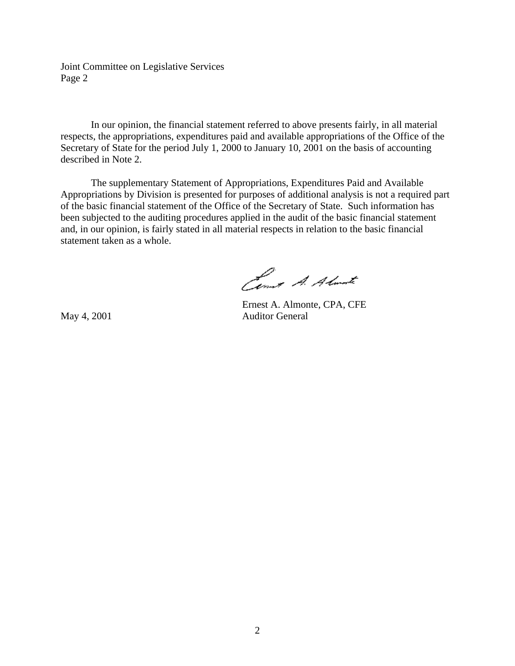Joint Committee on Legislative Services Page 2

In our opinion, the financial statement referred to above presents fairly, in all material respects, the appropriations, expenditures paid and available appropriations of the Office of the Secretary of State for the period July 1, 2000 to January 10, 2001 on the basis of accounting described in Note 2.

The supplementary Statement of Appropriations, Expenditures Paid and Available Appropriations by Division is presented for purposes of additional analysis is not a required part of the basic financial statement of the Office of the Secretary of State. Such information has been subjected to the auditing procedures applied in the audit of the basic financial statement and, in our opinion, is fairly stated in all material respects in relation to the basic financial statement taken as a whole.

Cent A. Almate

Ernest A. Almonte, CPA, CFE May 4, 2001 **Auditor General**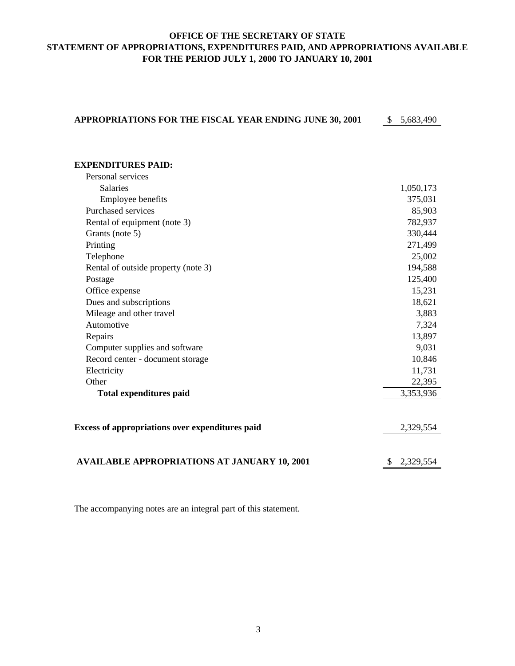# **OFFICE OF THE SECRETARY OF STATE STATEMENT OF APPROPRIATIONS, EXPENDITURES PAID, AND APPROPRIATIONS AVAILABLE FOR THE PERIOD JULY 1, 2000 TO JANUARY 10, 2001**

| APPROPRIATIONS FOR THE FISCAL YEAR ENDING JUNE 30, 2001 | $\mathbb{S}$<br>5,683,490 |
|---------------------------------------------------------|---------------------------|
|                                                         |                           |
|                                                         |                           |
| <b>EXPENDITURES PAID:</b>                               |                           |
| Personal services                                       |                           |
| <b>Salaries</b>                                         | 1,050,173                 |
| Employee benefits                                       | 375,031                   |
| Purchased services                                      | 85,903                    |
| Rental of equipment (note 3)                            | 782,937                   |
| Grants (note 5)                                         | 330,444                   |
| Printing                                                | 271,499                   |
| Telephone                                               | 25,002                    |
| Rental of outside property (note 3)                     | 194,588                   |
| Postage                                                 | 125,400                   |
| Office expense                                          | 15,231                    |
| Dues and subscriptions                                  | 18,621                    |
| Mileage and other travel                                | 3,883                     |
| Automotive                                              | 7,324                     |
| Repairs                                                 | 13,897                    |
| Computer supplies and software                          | 9,031                     |
| Record center - document storage                        | 10,846                    |
| Electricity                                             | 11,731                    |
| Other                                                   | 22,395                    |
| <b>Total expenditures paid</b>                          | 3,353,936                 |
|                                                         |                           |
|                                                         |                           |
| Excess of appropriations over expenditures paid         | 2,329,554                 |
|                                                         |                           |
|                                                         |                           |
| <b>AVAILABLE APPROPRIATIONS AT JANUARY 10, 2001</b>     | 2,329,554                 |
|                                                         |                           |

The accompanying notes are an integral part of this statement.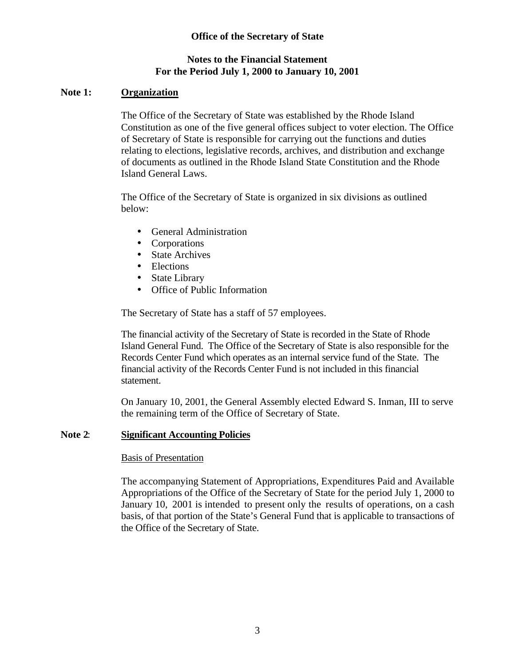# **Notes to the Financial Statement For the Period July 1, 2000 to January 10, 2001**

# **Note 1: Organization**

The Office of the Secretary of State was established by the Rhode Island Constitution as one of the five general offices subject to voter election. The Office of Secretary of State is responsible for carrying out the functions and duties relating to elections, legislative records, archives, and distribution and exchange of documents as outlined in the Rhode Island State Constitution and the Rhode Island General Laws.

The Office of the Secretary of State is organized in six divisions as outlined below:

- General Administration
- Corporations
- State Archives
- Elections
- State Library
- Office of Public Information

The Secretary of State has a staff of 57 employees.

The financial activity of the Secretary of State is recorded in the State of Rhode Island General Fund. The Office of the Secretary of State is also responsible for the Records Center Fund which operates as an internal service fund of the State. The financial activity of the Records Center Fund is not included in this financial statement.

On January 10, 2001, the General Assembly elected Edward S. Inman, III to serve the remaining term of the Office of Secretary of State.

# **Note 2**: **Significant Accounting Policies**

# Basis of Presentation

The accompanying Statement of Appropriations, Expenditures Paid and Available Appropriations of the Office of the Secretary of State for the period July 1, 2000 to January 10, 2001 is intended to present only the results of operations, on a cash basis, of that portion of the State's General Fund that is applicable to transactions of the Office of the Secretary of State.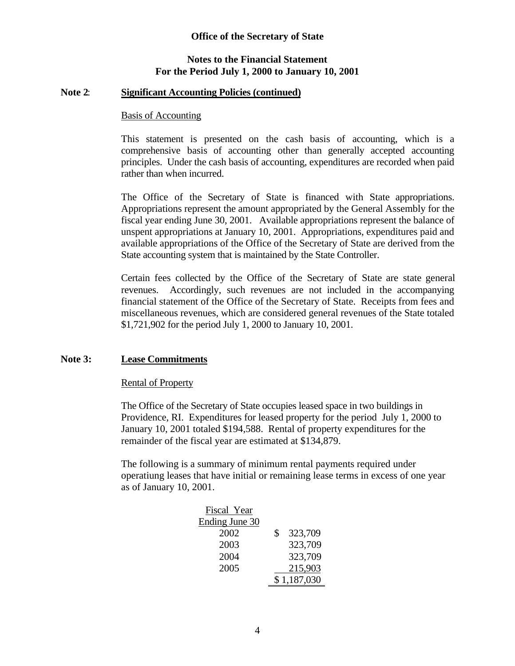#### **Notes to the Financial Statement For the Period July 1, 2000 to January 10, 2001**

#### **Note 2**: **Significant Accounting Policies (continued)**

#### Basis of Accounting

This statement is presented on the cash basis of accounting, which is a comprehensive basis of accounting other than generally accepted accounting principles. Under the cash basis of accounting, expenditures are recorded when paid rather than when incurred.

The Office of the Secretary of State is financed with State appropriations. Appropriations represent the amount appropriated by the General Assembly for the fiscal year ending June 30, 2001. Available appropriations represent the balance of unspent appropriations at January 10, 2001. Appropriations, expenditures paid and available appropriations of the Office of the Secretary of State are derived from the State accounting system that is maintained by the State Controller.

Certain fees collected by the Office of the Secretary of State are state general revenues. Accordingly, such revenues are not included in the accompanying financial statement of the Office of the Secretary of State. Receipts from fees and miscellaneous revenues, which are considered general revenues of the State totaled \$1,721,902 for the period July 1, 2000 to January 10, 2001.

#### **Note 3: Lease Commitments**

#### Rental of Property

The Office of the Secretary of State occupies leased space in two buildings in Providence, RI. Expenditures for leased property for the period July 1, 2000 to January 10, 2001 totaled \$194,588. Rental of property expenditures for the remainder of the fiscal year are estimated at \$134,879.

The following is a summary of minimum rental payments required under operatiung leases that have initial or remaining lease terms in excess of one year as of January 10, 2001.

| Fiscal Year    |               |
|----------------|---------------|
| Ending June 30 |               |
| 2002           | \$<br>323,709 |
| 2003           | 323,709       |
| 2004           | 323,709       |
| 2005           | 215,903       |
|                | \$1,187,030   |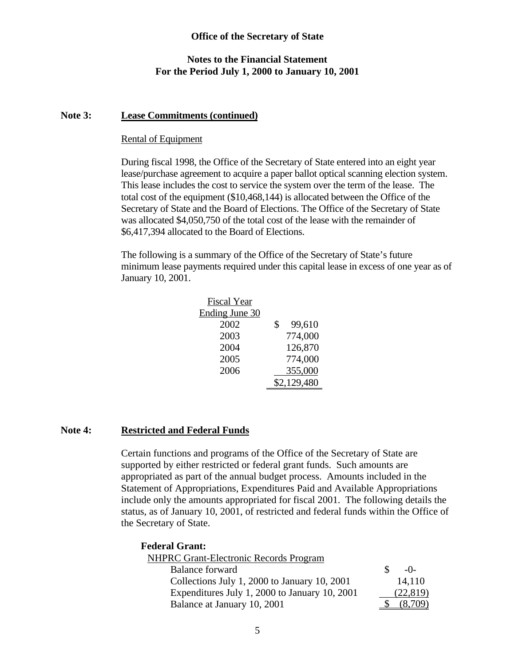#### **Notes to the Financial Statement For the Period July 1, 2000 to January 10, 2001**

#### **Note 3: Lease Commitments (continued)**

#### Rental of Equipment

During fiscal 1998, the Office of the Secretary of State entered into an eight year lease/purchase agreement to acquire a paper ballot optical scanning election system. This lease includes the cost to service the system over the term of the lease. The total cost of the equipment (\$10,468,144) is allocated between the Office of the Secretary of State and the Board of Elections. The Office of the Secretary of State was allocated \$4,050,750 of the total cost of the lease with the remainder of \$6,417,394 allocated to the Board of Elections.

The following is a summary of the Office of the Secretary of State's future minimum lease payments required under this capital lease in excess of one year as of January 10, 2001.

| <b>Fiscal Year</b> |              |
|--------------------|--------------|
| Ending June 30     |              |
| 2002               | \$<br>99,610 |
| 2003               | 774,000      |
| 2004               | 126,870      |
| 2005               | 774,000      |
| 2006               | 355,000      |
|                    | \$2,129,480  |

#### **Note 4: Restricted and Federal Funds**

Certain functions and programs of the Office of the Secretary of State are supported by either restricted or federal grant funds. Such amounts are appropriated as part of the annual budget process. Amounts included in the Statement of Appropriations, Expenditures Paid and Available Appropriations include only the amounts appropriated for fiscal 2001. The following details the status, as of January 10, 2001, of restricted and federal funds within the Office of the Secretary of State.

**Federal Grant:** NHPRC Grant-Electronic Records Program Balance forward  $\qquad \qquad$   $\qquad \qquad$  5 -0-Collections July 1, 2000 to January  $10, 2001$  14,110 Expenditures July 1, 2000 to January 10, 2001 (22,819) Balance at January 10, 2001 \$ (8,709)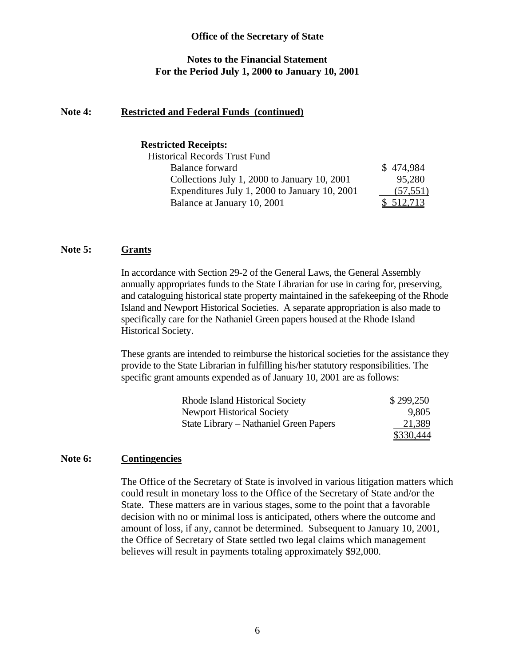#### **Notes to the Financial Statement For the Period July 1, 2000 to January 10, 2001**

#### **Note 4: Restricted and Federal Funds (continued)**

#### **Restricted Receipts:**

| <b>Historical Records Trust Fund</b>          |           |
|-----------------------------------------------|-----------|
| <b>Balance forward</b>                        | \$474,984 |
| Collections July 1, 2000 to January 10, 2001  | 95,280    |
| Expenditures July 1, 2000 to January 10, 2001 | (57, 551) |
| Balance at January 10, 2001                   | \$512,713 |
|                                               |           |

# **Note 5: Grants**

In accordance with Section 29-2 of the General Laws, the General Assembly annually appropriates funds to the State Librarian for use in caring for, preserving, and cataloguing historical state property maintained in the safekeeping of the Rhode Island and Newport Historical Societies. A separate appropriation is also made to specifically care for the Nathaniel Green papers housed at the Rhode Island Historical Society.

These grants are intended to reimburse the historical societies for the assistance they provide to the State Librarian in fulfilling his/her statutory responsibilities. The specific grant amounts expended as of January 10, 2001 are as follows:

| <b>Rhode Island Historical Society</b> | \$299,250 |
|----------------------------------------|-----------|
| <b>Newport Historical Society</b>      | 9,805     |
| State Library – Nathaniel Green Papers | 21,389    |
|                                        | \$330,444 |

#### **Note 6: Contingencies**

The Office of the Secretary of State is involved in various litigation matters which could result in monetary loss to the Office of the Secretary of State and/or the State. These matters are in various stages, some to the point that a favorable decision with no or minimal loss is anticipated, others where the outcome and amount of loss, if any, cannot be determined. Subsequent to January 10, 2001, the Office of Secretary of State settled two legal claims which management believes will result in payments totaling approximately \$92,000.